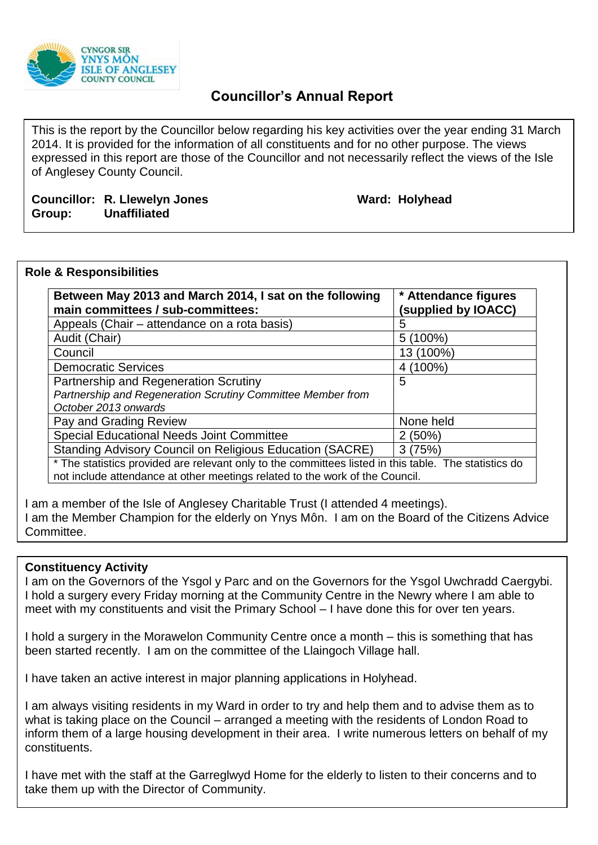

# **Councillor's Annual Report**

This is the report by the Councillor below regarding his key activities over the year ending 31 March 2014. It is provided for the information of all constituents and for no other purpose. The views expressed in this report are those of the Councillor and not necessarily reflect the views of the Isle of Anglesey County Council.

## **Councillor: R. Llewelyn Jones Ward: Holyhead Group: Unaffiliated**

### **Role & Responsibilities**

| Between May 2013 and March 2014, I sat on the following<br>main committees / sub-committees:          | * Attendance figures<br>(supplied by IOACC) |
|-------------------------------------------------------------------------------------------------------|---------------------------------------------|
| Appeals (Chair – attendance on a rota basis)                                                          | 5                                           |
| Audit (Chair)                                                                                         | $5(100\%)$                                  |
| Council                                                                                               | 13 (100%)                                   |
| <b>Democratic Services</b>                                                                            | 4 (100%)                                    |
| Partnership and Regeneration Scrutiny                                                                 | 5                                           |
| Partnership and Regeneration Scrutiny Committee Member from                                           |                                             |
| October 2013 onwards                                                                                  |                                             |
| Pay and Grading Review                                                                                | None held                                   |
| Special Educational Needs Joint Committee                                                             | 2(50%)                                      |
| <b>Standing Advisory Council on Religious Education (SACRE)</b>                                       | 3(75%)                                      |
| * The statistics provided are relevant only to the committees listed in this table. The statistics do |                                             |
| not include attendance at other meetings related to the work of the Council.                          |                                             |

I am a member of the Isle of Anglesey Charitable Trust (I attended 4 meetings). I am the Member Champion for the elderly on Ynys Môn. I am on the Board of the Citizens Advice Committee.

#### **Constituency Activity**

I am on the Governors of the Ysgol y Parc and on the Governors for the Ysgol Uwchradd Caergybi. I hold a surgery every Friday morning at the Community Centre in the Newry where I am able to meet with my constituents and visit the Primary School – I have done this for over ten years.

I hold a surgery in the Morawelon Community Centre once a month – this is something that has been started recently. I am on the committee of the Llaingoch Village hall.

I have taken an active interest in major planning applications in Holyhead.

I am always visiting residents in my Ward in order to try and help them and to advise them as to what is taking place on the Council – arranged a meeting with the residents of London Road to inform them of a large housing development in their area. I write numerous letters on behalf of my constituents.

I have met with the staff at the Garreglwyd Home for the elderly to listen to their concerns and to take them up with the Director of Community.